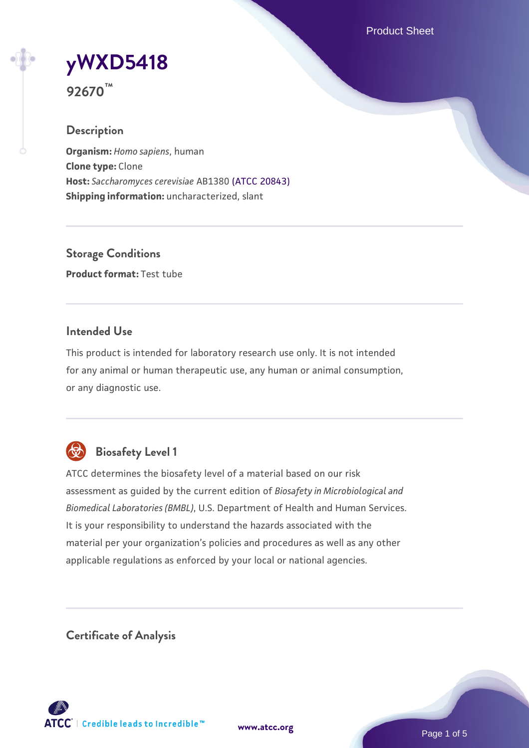Product Sheet

# **[yWXD5418](https://www.atcc.org/products/92670)**

**92670™**

## **Description**

**Organism:** *Homo sapiens*, human **Clone type:** Clone **Host:** *Saccharomyces cerevisiae* AB1380 [\(ATCC 20843\)](https://www.atcc.org/products/20843) **Shipping information:** uncharacterized, slant

**Storage Conditions Product format:** Test tube

## **Intended Use**

This product is intended for laboratory research use only. It is not intended for any animal or human therapeutic use, any human or animal consumption, or any diagnostic use.



# **Biosafety Level 1**

ATCC determines the biosafety level of a material based on our risk assessment as guided by the current edition of *Biosafety in Microbiological and Biomedical Laboratories (BMBL)*, U.S. Department of Health and Human Services. It is your responsibility to understand the hazards associated with the material per your organization's policies and procedures as well as any other applicable regulations as enforced by your local or national agencies.

**Certificate of Analysis**

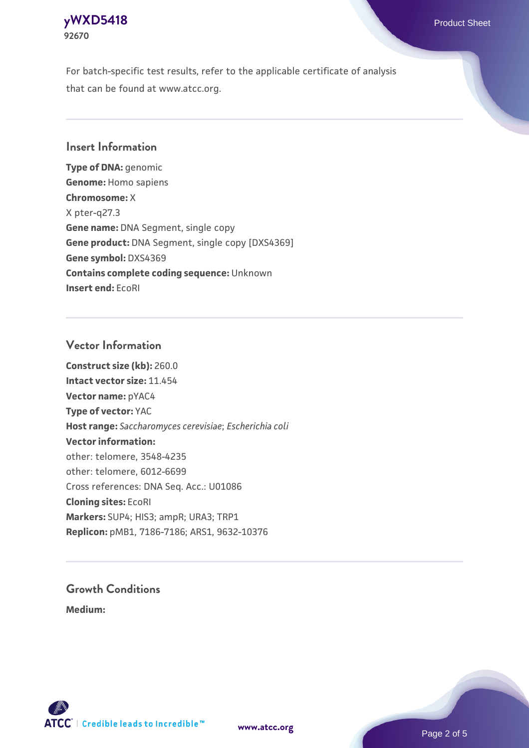## **[yWXD5418](https://www.atcc.org/products/92670)** Product Sheet **92670**

For batch-specific test results, refer to the applicable certificate of analysis that can be found at www.atcc.org.

## **Insert Information**

**Type of DNA:** genomic **Genome:** Homo sapiens **Chromosome:** X X pter-q27.3 **Gene name:** DNA Segment, single copy **Gene product:** DNA Segment, single copy [DXS4369] **Gene symbol:** DXS4369 **Contains complete coding sequence:** Unknown **Insert end:** EcoRI

## **Vector Information**

**Construct size (kb):** 260.0 **Intact vector size:** 11.454 **Vector name:** pYAC4 **Type of vector:** YAC **Host range:** *Saccharomyces cerevisiae*; *Escherichia coli* **Vector information:** other: telomere, 3548-4235 other: telomere, 6012-6699 Cross references: DNA Seq. Acc.: U01086 **Cloning sites:** EcoRI **Markers:** SUP4; HIS3; ampR; URA3; TRP1 **Replicon:** pMB1, 7186-7186; ARS1, 9632-10376

# **Growth Conditions**

**Medium:** 



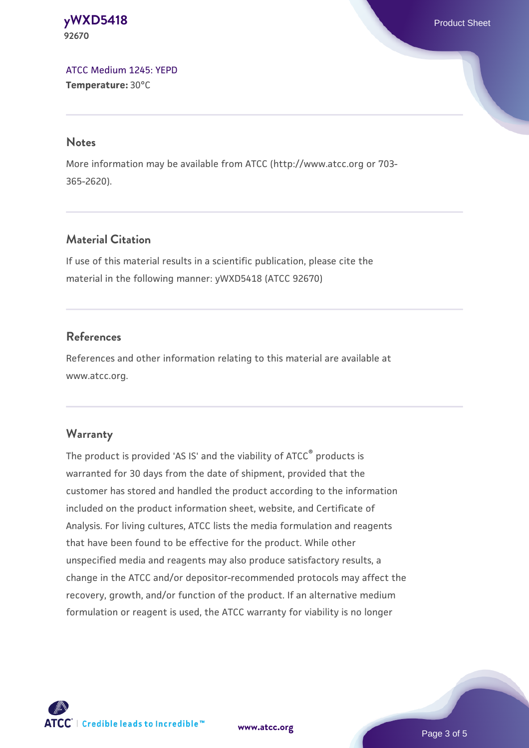#### **[yWXD5418](https://www.atcc.org/products/92670)** Product Sheet **92670**

[ATCC Medium 1245: YEPD](https://www.atcc.org/-/media/product-assets/documents/microbial-media-formulations/1/2/4/5/atcc-medium-1245.pdf?rev=705ca55d1b6f490a808a965d5c072196) **Temperature:** 30°C

#### **Notes**

More information may be available from ATCC (http://www.atcc.org or 703- 365-2620).

## **Material Citation**

If use of this material results in a scientific publication, please cite the material in the following manner: yWXD5418 (ATCC 92670)

## **References**

References and other information relating to this material are available at www.atcc.org.

## **Warranty**

The product is provided 'AS IS' and the viability of ATCC® products is warranted for 30 days from the date of shipment, provided that the customer has stored and handled the product according to the information included on the product information sheet, website, and Certificate of Analysis. For living cultures, ATCC lists the media formulation and reagents that have been found to be effective for the product. While other unspecified media and reagents may also produce satisfactory results, a change in the ATCC and/or depositor-recommended protocols may affect the recovery, growth, and/or function of the product. If an alternative medium formulation or reagent is used, the ATCC warranty for viability is no longer



**[www.atcc.org](http://www.atcc.org)**

Page 3 of 5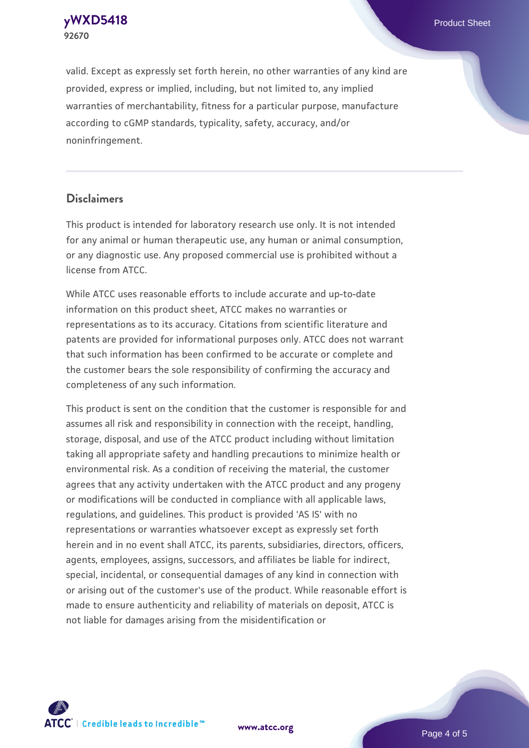**[yWXD5418](https://www.atcc.org/products/92670)** Product Sheet **92670**

valid. Except as expressly set forth herein, no other warranties of any kind are provided, express or implied, including, but not limited to, any implied warranties of merchantability, fitness for a particular purpose, manufacture according to cGMP standards, typicality, safety, accuracy, and/or noninfringement.

#### **Disclaimers**

This product is intended for laboratory research use only. It is not intended for any animal or human therapeutic use, any human or animal consumption, or any diagnostic use. Any proposed commercial use is prohibited without a license from ATCC.

While ATCC uses reasonable efforts to include accurate and up-to-date information on this product sheet, ATCC makes no warranties or representations as to its accuracy. Citations from scientific literature and patents are provided for informational purposes only. ATCC does not warrant that such information has been confirmed to be accurate or complete and the customer bears the sole responsibility of confirming the accuracy and completeness of any such information.

This product is sent on the condition that the customer is responsible for and assumes all risk and responsibility in connection with the receipt, handling, storage, disposal, and use of the ATCC product including without limitation taking all appropriate safety and handling precautions to minimize health or environmental risk. As a condition of receiving the material, the customer agrees that any activity undertaken with the ATCC product and any progeny or modifications will be conducted in compliance with all applicable laws, regulations, and guidelines. This product is provided 'AS IS' with no representations or warranties whatsoever except as expressly set forth herein and in no event shall ATCC, its parents, subsidiaries, directors, officers, agents, employees, assigns, successors, and affiliates be liable for indirect, special, incidental, or consequential damages of any kind in connection with or arising out of the customer's use of the product. While reasonable effort is made to ensure authenticity and reliability of materials on deposit, ATCC is not liable for damages arising from the misidentification or



**[www.atcc.org](http://www.atcc.org)**

Page 4 of 5